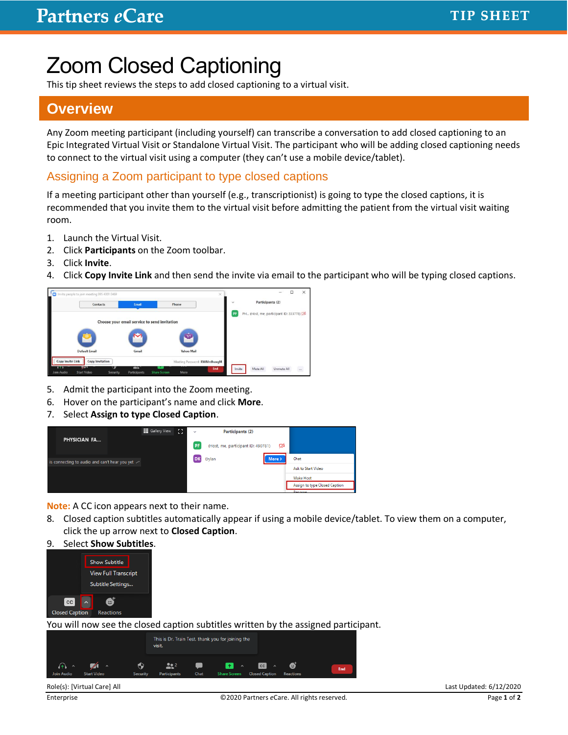# Zoom Closed Captioning

This tip sheet reviews the steps to add closed captioning to a virtual visit.

### **Overview**

Any Zoom meeting participant (including yourself) can transcribe a conversation to add closed captioning to an Epic Integrated Virtual Visit or Standalone Virtual Visit. The participant who will be adding closed captioning needs to connect to the virtual visit using a computer (they can't use a mobile device/tablet).

#### Assigning a Zoom participant to type closed captions

If a meeting participant other than yourself (e.g., transcriptionist) is going to type the closed captions, it is recommended that you invite them to the virtual visit before admitting the patient from the virtual visit waiting room.

- 1. Launch the Virtual Visit.
- 2. Click **Participants** on the Zoom toolbar.
- 3. Click **Invite**.
- 4. Click **Copy Invite Link** and then send the invite via email to the participant who will be typing closed captions.



- 5. Admit the participant into the Zoom meeting.
- 6. Hover on the participant's name and click **More**.
- 7. Select **Assign to type Closed Caption**.



**Note:** A CC icon appears next to their name.

- 8. Closed caption subtitles automatically appear if using a mobile device/tablet. To view them on a computer, click the up arrow next to **Closed Caption**.
- 9. Select **Show Subtitles**.



You will now see the closed caption subtitles written by the assigned participant.



Role(s): [Virtual Care] All Last Updated: 6/12/2020